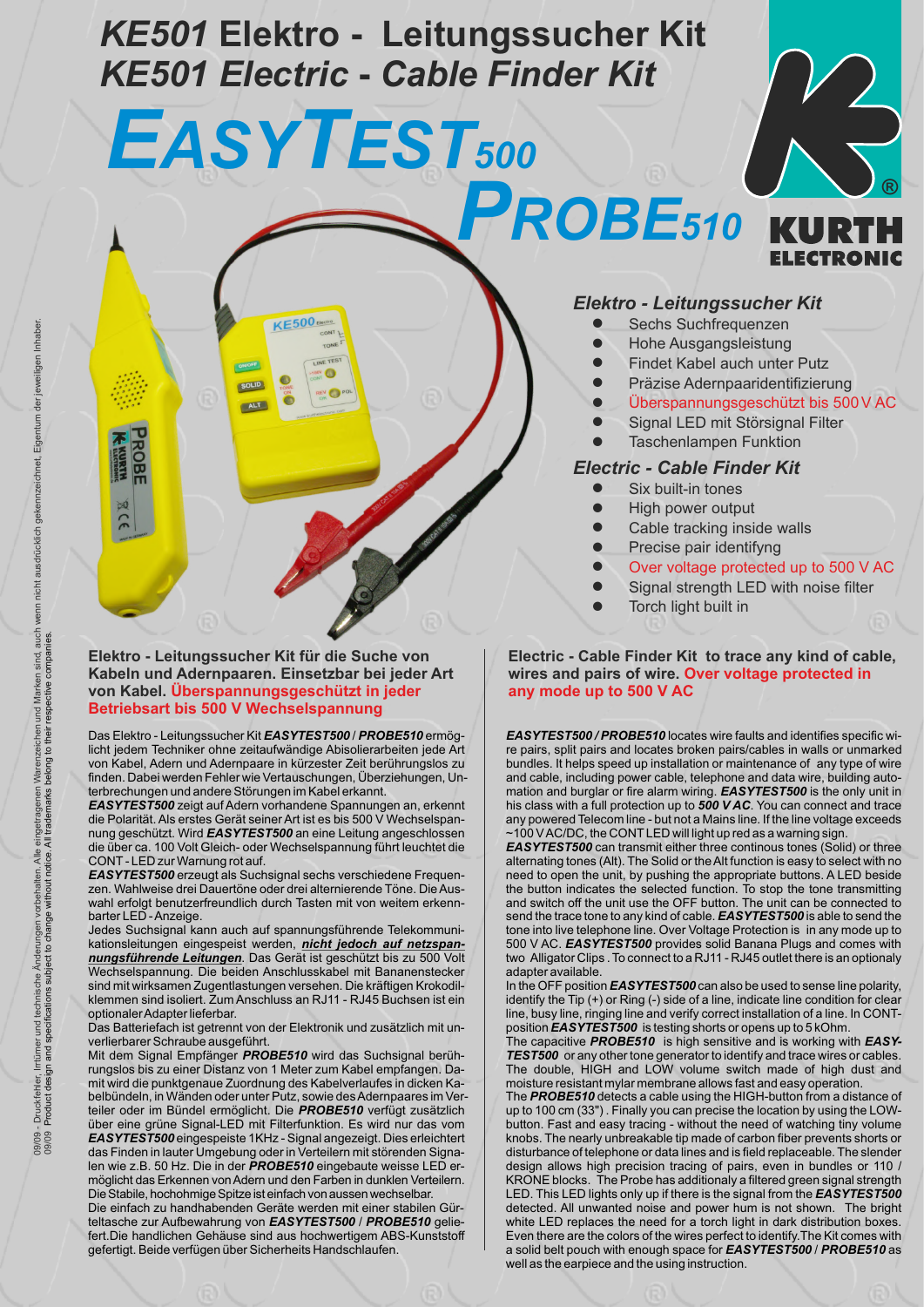# *KE501* **Elektro - Leitungssucher Kit** *KE501 Electric* **-** *Cable Finder Kit*

*EASYTEST<sup>500</sup>*

**KE500** 

SOLID

ALT

**Elektro - Leitungssucher Kit für die Suche von Kabeln und Adernpaaren. Einsetzbar bei jeder Art von Kabel. Überspannungsgeschützt in jeder Betriebsart bis 500 V Wechselspannung**

Das Elektro - Leitungssucher Kit *EASYTEST500* / *PROBE510* ermöglicht jedem Techniker ohne zeitaufwändige Abisolierarbeiten jede Art von Kabel, Adern und Adernpaare in kürzester Zeit berührungslos zu finden. Dabei werden Fehler wie Vertauschungen, Überziehungen, Unterbrechungen und andere Störungen im Kabel erkannt.

*EASYTEST500* zeigt auf Adern vorhandene Spannungen an, erkennt die Polarität. Als erstes Gerät seiner Art ist es bis 500 V Wechselspannung geschützt. Wird *EASYTEST500* an eine Leitung angeschlossen die über ca. 100 Volt Gleich- oder Wechselspannung führt leuchtet die CONT- LED zur Warnung rot auf.

*EASYTEST500* erzeugt als Suchsignal sechs verschiedene Frequenzen. Wahlweise drei Dauertöne oder drei alternierende Töne. Die Auswahl erfolgt benutzerfreundlich durch Tasten mit von weitem erkennbarter LED - Anzeige.

Jedes Suchsignal kann auch auf spannungsführende Telekommunikationsleitungen eingespeist werden, *nicht jedoch auf netzspannungsführende Leitungen*. Das Gerät ist geschützt bis zu 500 Volt Wechselspannung. Die beiden Anschlusskabel mit Bananenstecker sind mit wirksamen Zugentlastungen versehen. Die kräftigen Krokodilklemmen sind isoliert. Zum Anschluss an RJ11 - RJ45 Buchsen ist ein optionaler Adapter lieferbar.

Das Batteriefach ist getrennt von der Elektronik und zusätzlich mit unverlierbarer Schraube ausgeführt.

Mit dem Signal Empfänger *PROBE510* wird das Suchsignal berührungslos bis zu einer Distanz von 1 Meter zum Kabel empfangen. Damit wird die punktgenaue Zuordnung des Kabelverlaufes in dicken Kabelbündeln, in Wänden oder unter Putz, sowie des Adernpaares im Verteiler oder im Bündel ermöglicht. Die *PROBE510* verfügt zusätzlich über eine grüne Signal-LED mit Filterfunktion. Es wird nur das vom *EASYTEST500* eingespeiste 1KHz - Signal angezeigt. Dies erleichtert das Finden in lauter Umgebung oder in Verteilern mit störenden Signalen wie z.B. 50 Hz. Die in der *PROBE510* eingebaute weisse LED ermöglicht das Erkennen vonAdern und den Farben in dunklen Verteilern. Die Stabile, hochohmige Spitze ist einfach von aussen wechselbar.

Die einfach zu handhabenden Geräte werden mit einer stabilen Gürteltasche zur Aufbewahrung von *EASYTEST500* / *PROBE510* geliefert.Die handlichen Gehäuse sind aus hochwertigem ABS-Kunststoff gefertigt. Beide verfügen über Sicherheits Handschlaufen.

### *Elektro - Leitungssucher Kit*

*PROBE<sup>510</sup>*

- Sechs Suchfrequenzen
- ! Hohe Ausgangsleistung
- ! Findet Kabel auch unter Putz
- ! Präzise Adernpaaridentifizierung
- -<br>• Überspannungsgeschützt bis 500 V AC

**®**

KURTH

- Signal LED mit Störsignal Filter
- **Taschenlampen Funktion**

### *Electric - Cable Finder Kit*

- Six built-in tones
- High power output
- Cable tracking inside walls
- Precise pair identifyng
- !<br>• Over voltage protected up to 500 V AC
- Signal strength LED with noise filter
- Torch light built in

**Electric - Cable Finder Kit to trace any kind of cable, wires and pairs of wire. Over voltage protected in any mode up to 500 V AC**

*EASYTEST500 / PROBE510* locates wire faults and identifies specific wire pairs, split pairs and locates broken pairs/cables in walls or unmarked bundles. It helps speed up installation or maintenance of any type of wire and cable, including power cable, telephone and data wire, building automation and burglar or fire alarm wiring. *EASYTEST500* is the only unit in his class with a full protection up to *500 V AC*. You can connect and trace any powered Telecom line - but not a Mains line. If the line voltage exceeds ~100 V AC/DC, the CONTLED will light up red as a warning sign.

*EASYTEST500* can transmit either three continous tones (Solid) or three alternating tones (Alt). The Solid or the Alt function is easy to select with no need to open the unit, by pushing the appropriate buttons. A LED beside the button indicates the selected function. To stop the tone transmitting and switch off the unit use the OFF button. The unit can be connected to send the trace tone to any kind of cable. *EASYTEST500* is able to send the tone into live telephone line. Over Voltage Protection is in any mode up to 500 V AC. *EASYTEST500* provides solid Banana Plugs and comes with two Alligator Clips . To connect to a RJ11 - RJ45 outlet there is an optionaly adapter available.

In the OFF position *EASYTEST500* can also be used to sense line polarity, identify the Tip (+) or Ring (-) side of a line, indicate line condition for clear line, busy line, ringing line and verify correct installation of a line. In CONTposition *EASYTEST500* is testing shorts or opens up to 5 kOhm.

The capacitive *PROBE510* is high sensitive and is working with *EASY-TEST500* or any other tone generator to identify and trace wires or cables. The double, HIGH and LOW volume switch made of high dust and moisture resistant mylar membrane allows fast and easy operation.

The *PROBE510* detects a cable using the HIGH-button from a distance of up to 100 cm (33") . Finally you can precise the location by using the LOWbutton. Fast and easy tracing - without the need of watching tiny volume knobs. The nearly unbreakable tip made of carbon fiber prevents shorts or disturbance of telephone or data lines and is field replaceable. The slender design allows high precision tracing of pairs, even in bundles or 110 / KRONE blocks. The Probe has additionaly a filtered green signal strength LED. This LED lights only up if there is the signal from the *EASYTEST500* detected. All unwanted noise and power hum is not shown. The bright white LED replaces the need for a torch light in dark distribution boxes. Even there are the colors of the wires perfect to identify.The Kit comes with a solid belt pouch with enough space for *EASYTEST500* / *PROBE510* as well as the earpiece and the using instruction.